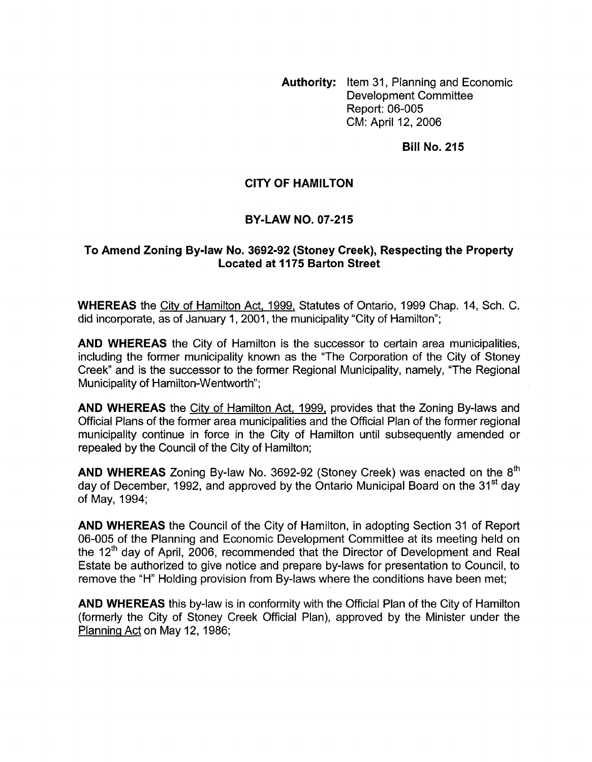**Authority:** Item 31, Planning and Economic Development Committee Report: 06-005 CM: April 12, 2006

**Bill No. 215** 

## **CITY OF HAMILTON**

## **BY-LAW NO. 07-215**

## **To Amend Zoning By-law No. 3692-92 (Stoney Creek), Respecting the Property Located at 1175 Barton Street**

**WHEREAS** the City of Hamilton Act, 1999, Statutes of Ontario, 1999 Chap. 14, Sch. C. did incorporate, as of January 1, 2001, the municipality "City of Hamilton";

**AND WHEREAS** the City of Hamilton is the successor to certain area municipalities, including the former municipality known as the "The Corporation of the City of Stoney Creek" and is the successor to the former Regional Municipality, namely, "The Regional Municipality of Hamilton-Wentworth";

**AND WHEREAS** the City of Hamilton Act, 1999, provides that the Zoning By-laws and Official Plans of the former area municipalities and the Official Plan of the former regional municipality continue in force in the City of Hamilton until subsequently amended or repealed by the Council of the City of Hamilton;

**AND WHEREAS** Zoning By-law No. 3692-92 (Stoney Creek) was enacted on the 8<sup>th</sup> day of December, 1992, and approved by the Ontario Municipal Board on the 31<sup>st</sup> dav of May, 1994;

**AND WHEREAS** the Council of the City of Hamilton, in adopting Section 31 of Report 06-005 of the Planning and Economic Development Committee at its meeting held on the 12<sup>th</sup> day of April, 2006, recommended that the Director of Development and Real Estate be authorized to give notice and prepare by-laws for presentation to Council, to remove the "H" Holding provision from By-laws where the conditions have been met;

**AND WHEREAS** this by-law is in conformity with the Official Plan of the City of Hamilton (formerly the City of Stoney Creek Official Plan), approved by the Minister under the Planning Act on May 12, 1986;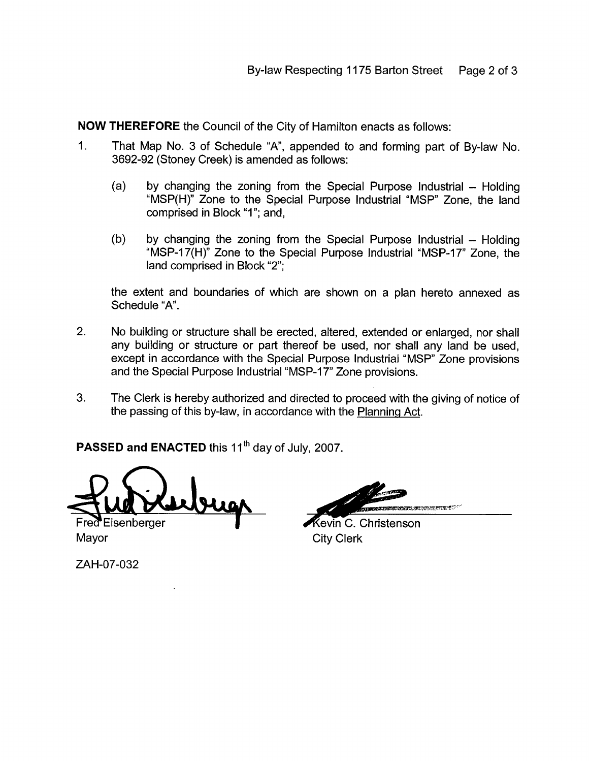**NOW THEREFORE** the Council of the City of Hamilton enacts as follows:

- 1. That Map No. 3 of Schedule "A", appended to and forming part of By-law No. 3692-92 (Stoney Creek) is amended as follows:
	- (a) by changing the zoning from the Special Purpose Industrial  $-$  Holding "MSP(H)" Zone to the Special Purpose Industrial "MSP" Zone, the land comprised in Block "I"; and,
	- $(b)$  by changing the zoning from the Special Purpose Industrial  $-$  Holding "MSP-l7(H)" Zone to the Special Purpose Industrial "MSP-17" Zone, the land comprised in Block "2";

the extent and boundaries of which are shown on a plan hereto annexed as Schedule "A".

- 2. No building or structure shall be erected, altered, extended or enlarged, nor shall any building or structure or part thereof be used, nor shall any land be used, except in accordance with the Special Purpose Industrial "MSP" Zone provisions and the Special Purpose Industrial "MSP-17" Zone provisions.
- 3. The Clerk is hereby authorized and directed to proceed with the giving of notice of the passing of this by-law, in accordance with the Planning Act.

PASSED and ENACTED this 11<sup>th</sup> day of July, 2007.

Fred Eisenberger Mayor City Clerk

Kevin C. Christenson

ZAH-07-032